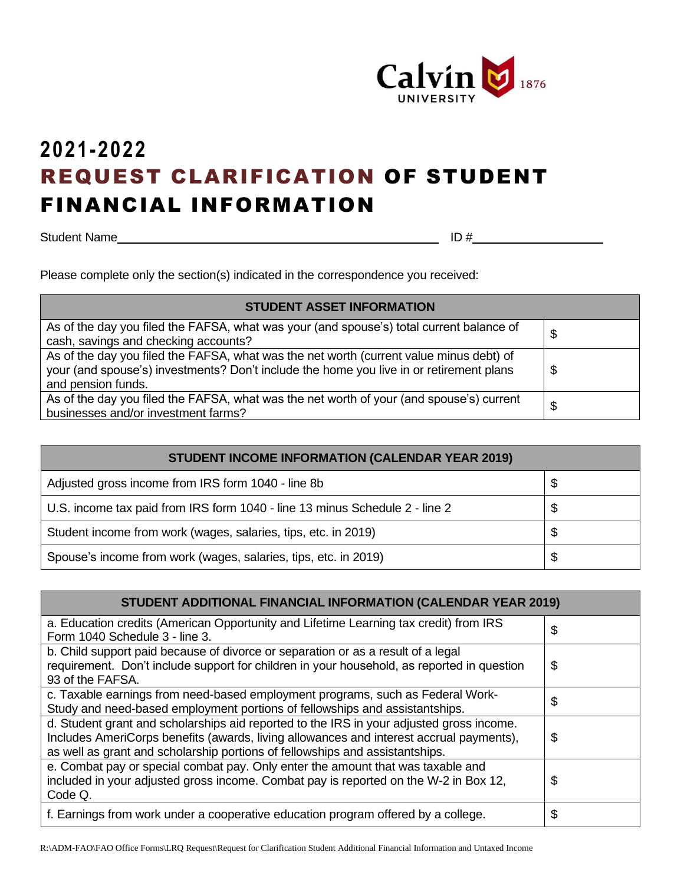

## **2021-2022** REQUEST CLARIFICATION OF STUDENT FINANCIAL INFORMATION

Student Name ID #

Please complete only the section(s) indicated in the correspondence you received:

| <b>STUDENT ASSET INFORMATION</b>                                                                                                                                                                         |    |
|----------------------------------------------------------------------------------------------------------------------------------------------------------------------------------------------------------|----|
| As of the day you filed the FAFSA, what was your (and spouse's) total current balance of<br>cash, savings and checking accounts?                                                                         | Ψ  |
| As of the day you filed the FAFSA, what was the net worth (current value minus debt) of<br>your (and spouse's) investments? Don't include the home you live in or retirement plans<br>and pension funds. | \$ |
| As of the day you filed the FAFSA, what was the net worth of your (and spouse's) current<br>businesses and/or investment farms?                                                                          | S  |

| <b>STUDENT INCOME INFORMATION (CALENDAR YEAR 2019)</b>                      |    |
|-----------------------------------------------------------------------------|----|
| Adjusted gross income from IRS form 1040 - line 8b                          | \$ |
| U.S. income tax paid from IRS form 1040 - line 13 minus Schedule 2 - line 2 | \$ |
| Student income from work (wages, salaries, tips, etc. in 2019)              | \$ |
| Spouse's income from work (wages, salaries, tips, etc. in 2019)             | \$ |

| <b>STUDENT ADDITIONAL FINANCIAL INFORMATION (CALENDAR YEAR 2019)</b>                                                                                                                                                                                                |    |
|---------------------------------------------------------------------------------------------------------------------------------------------------------------------------------------------------------------------------------------------------------------------|----|
| a. Education credits (American Opportunity and Lifetime Learning tax credit) from IRS<br>Form 1040 Schedule 3 - line 3.                                                                                                                                             | \$ |
| b. Child support paid because of divorce or separation or as a result of a legal<br>requirement. Don't include support for children in your household, as reported in question<br>93 of the FAFSA.                                                                  | \$ |
| c. Taxable earnings from need-based employment programs, such as Federal Work-<br>Study and need-based employment portions of fellowships and assistantships.                                                                                                       | \$ |
| d. Student grant and scholarships aid reported to the IRS in your adjusted gross income.<br>Includes AmeriCorps benefits (awards, living allowances and interest accrual payments),<br>as well as grant and scholarship portions of fellowships and assistantships. | \$ |
| e. Combat pay or special combat pay. Only enter the amount that was taxable and<br>included in your adjusted gross income. Combat pay is reported on the W-2 in Box 12,<br>Code Q.                                                                                  | \$ |
| f. Earnings from work under a cooperative education program offered by a college.                                                                                                                                                                                   | \$ |